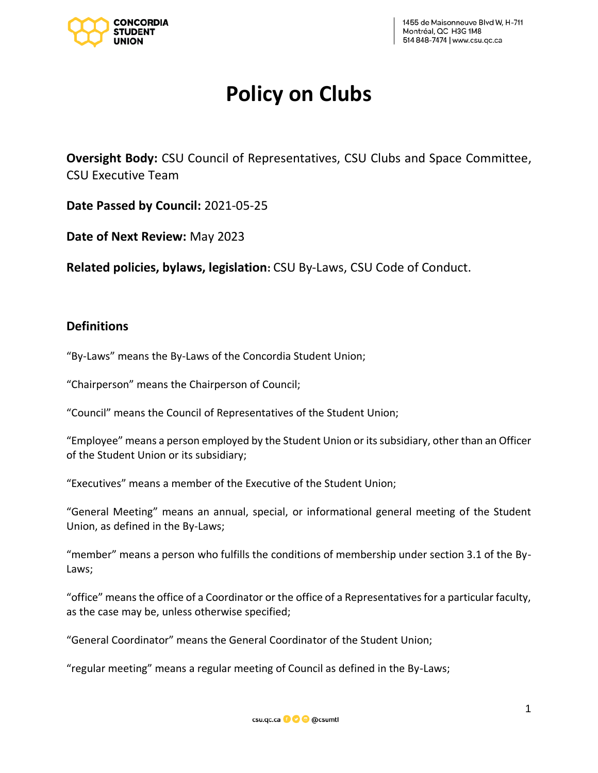

# **Policy on Clubs**

**Oversight Body:** CSU Council of Representatives, CSU Clubs and Space Committee, CSU Executive Team

**Date Passed by Council:** 2021-05-25

**Date of Next Review:** May 2023

**Related policies, bylaws, legislation:** CSU By-Laws, CSU Code of Conduct.

### **Definitions**

"By-Laws" means the By-Laws of the Concordia Student Union;

"Chairperson" means the Chairperson of Council;

"Council" means the Council of Representatives of the Student Union;

"Employee" means a person employed by the Student Union or its subsidiary, other than an Officer of the Student Union or its subsidiary;

"Executives" means a member of the Executive of the Student Union;

"General Meeting" means an annual, special, or informational general meeting of the Student Union, as defined in the By-Laws;

"member" means a person who fulfills the conditions of membership under section 3.1 of the By-Laws;

"office" means the office of a Coordinator or the office of a Representatives for a particular faculty, as the case may be, unless otherwise specified;

"General Coordinator" means the General Coordinator of the Student Union;

"regular meeting" means a regular meeting of Council as defined in the By-Laws;

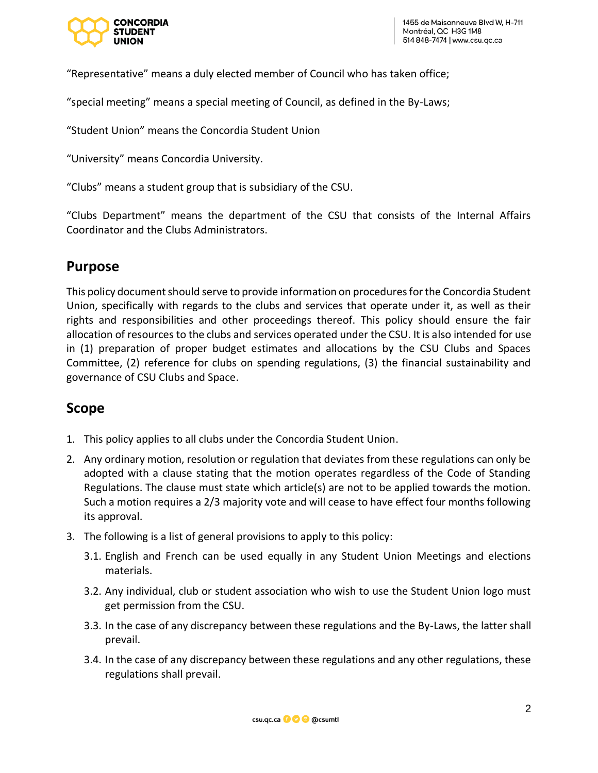

"Representative" means a duly elected member of Council who has taken office;

"special meeting" means a special meeting of Council, as defined in the By-Laws;

"Student Union" means the Concordia Student Union

"University" means Concordia University.

"Clubs" means a student group that is subsidiary of the CSU.

"Clubs Department" means the department of the CSU that consists of the Internal Affairs Coordinator and the Clubs Administrators.

### **Purpose**

This policy document should serve to provide information on procedures for the Concordia Student Union, specifically with regards to the clubs and services that operate under it, as well as their rights and responsibilities and other proceedings thereof. This policy should ensure the fair allocation of resources to the clubs and services operated under the CSU. It is also intended for use in (1) preparation of proper budget estimates and allocations by the CSU Clubs and Spaces Committee, (2) reference for clubs on spending regulations, (3) the financial sustainability and governance of CSU Clubs and Space.

### **Scope**

- 1. This policy applies to all clubs under the Concordia Student Union.
- 2. Any ordinary motion, resolution or regulation that deviates from these regulations can only be adopted with a clause stating that the motion operates regardless of the Code of Standing Regulations. The clause must state which article(s) are not to be applied towards the motion. Such a motion requires a 2/3 majority vote and will cease to have effect four months following its approval.
- 3. The following is a list of general provisions to apply to this policy:
	- 3.1. English and French can be used equally in any Student Union Meetings and elections materials.
	- 3.2. Any individual, club or student association who wish to use the Student Union logo must get permission from the CSU.
	- 3.3. In the case of any discrepancy between these regulations and the By-Laws, the latter shall prevail.
	- 3.4. In the case of any discrepancy between these regulations and any other regulations, these regulations shall prevail.

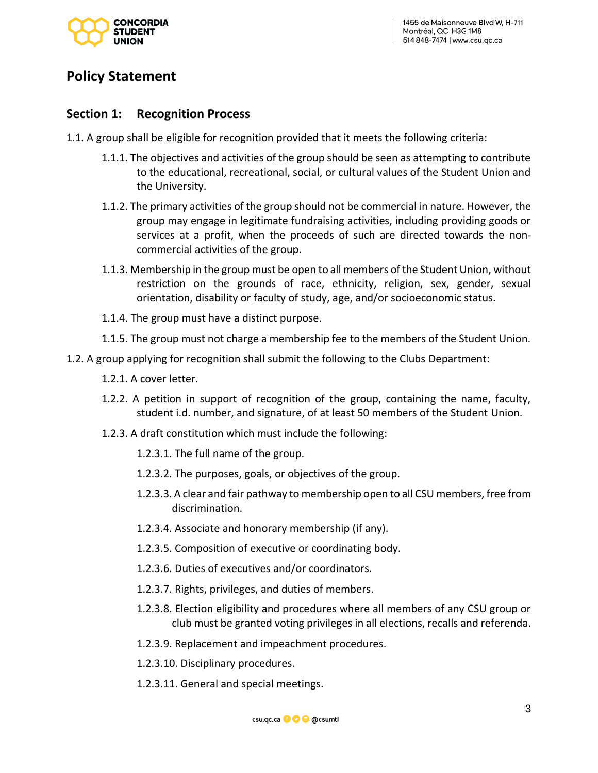

## **Policy Statement**

### **Section 1: Recognition Process**

- 1.1. A group shall be eligible for recognition provided that it meets the following criteria:
	- 1.1.1. The objectives and activities of the group should be seen as attempting to contribute to the educational, recreational, social, or cultural values of the Student Union and the University.
	- 1.1.2. The primary activities of the group should not be commercial in nature. However, the group may engage in legitimate fundraising activities, including providing goods or services at a profit, when the proceeds of such are directed towards the noncommercial activities of the group.
	- 1.1.3. Membership in the group must be open to all members of the Student Union, without restriction on the grounds of race, ethnicity, religion, sex, gender, sexual orientation, disability or faculty of study, age, and/or socioeconomic status.
	- 1.1.4. The group must have a distinct purpose.
	- 1.1.5. The group must not charge a membership fee to the members of the Student Union.
- 1.2. A group applying for recognition shall submit the following to the Clubs Department:
	- 1.2.1. A cover letter.
	- 1.2.2. A petition in support of recognition of the group, containing the name, faculty, student i.d. number, and signature, of at least 50 members of the Student Union.
	- 1.2.3. A draft constitution which must include the following:
		- 1.2.3.1. The full name of the group.
		- 1.2.3.2. The purposes, goals, or objectives of the group.
		- 1.2.3.3. A clear and fair pathway to membership open to all CSU members, free from discrimination.
		- 1.2.3.4. Associate and honorary membership (if any).
		- 1.2.3.5. Composition of executive or coordinating body.
		- 1.2.3.6. Duties of executives and/or coordinators.
		- 1.2.3.7. Rights, privileges, and duties of members.
		- 1.2.3.8. Election eligibility and procedures where all members of any CSU group or club must be granted voting privileges in all elections, recalls and referenda.
		- 1.2.3.9. Replacement and impeachment procedures.
		- 1.2.3.10. Disciplinary procedures.
		- 1.2.3.11. General and special meetings.

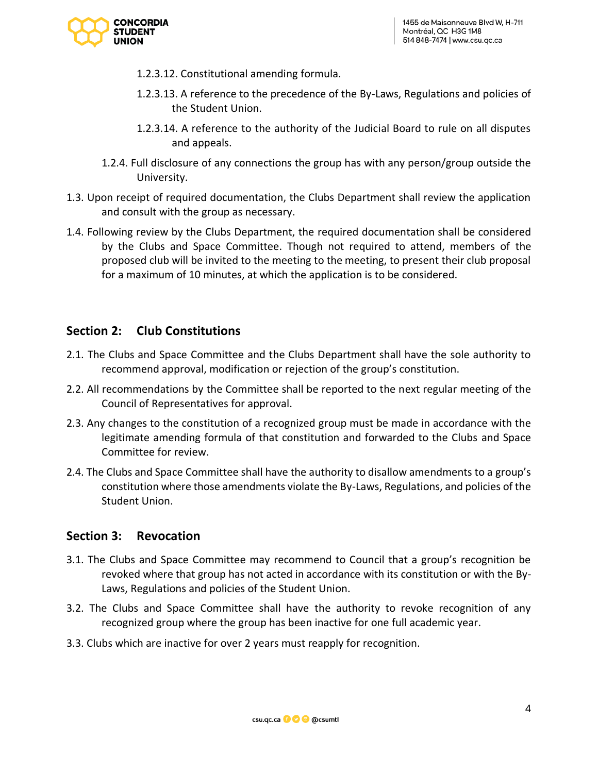

- 1.2.3.12. Constitutional amending formula.
- 1.2.3.13. A reference to the precedence of the By-Laws, Regulations and policies of the Student Union.
- 1.2.3.14. A reference to the authority of the Judicial Board to rule on all disputes and appeals.
- 1.2.4. Full disclosure of any connections the group has with any person/group outside the University.
- 1.3. Upon receipt of required documentation, the Clubs Department shall review the application and consult with the group as necessary.
- 1.4. Following review by the Clubs Department, the required documentation shall be considered by the Clubs and Space Committee. Though not required to attend, members of the proposed club will be invited to the meeting to the meeting, to present their club proposal for a maximum of 10 minutes, at which the application is to be considered.

### **Section 2: Club Constitutions**

- 2.1. The Clubs and Space Committee and the Clubs Department shall have the sole authority to recommend approval, modification or rejection of the group's constitution.
- 2.2. All recommendations by the Committee shall be reported to the next regular meeting of the Council of Representatives for approval.
- 2.3. Any changes to the constitution of a recognized group must be made in accordance with the legitimate amending formula of that constitution and forwarded to the Clubs and Space Committee for review.
- 2.4. The Clubs and Space Committee shall have the authority to disallow amendments to a group's constitution where those amendments violate the By-Laws, Regulations, and policies of the Student Union.

### **Section 3: Revocation**

- 3.1. The Clubs and Space Committee may recommend to Council that a group's recognition be revoked where that group has not acted in accordance with its constitution or with the By-Laws, Regulations and policies of the Student Union.
- 3.2. The Clubs and Space Committee shall have the authority to revoke recognition of any recognized group where the group has been inactive for one full academic year.
- 3.3. Clubs which are inactive for over 2 years must reapply for recognition.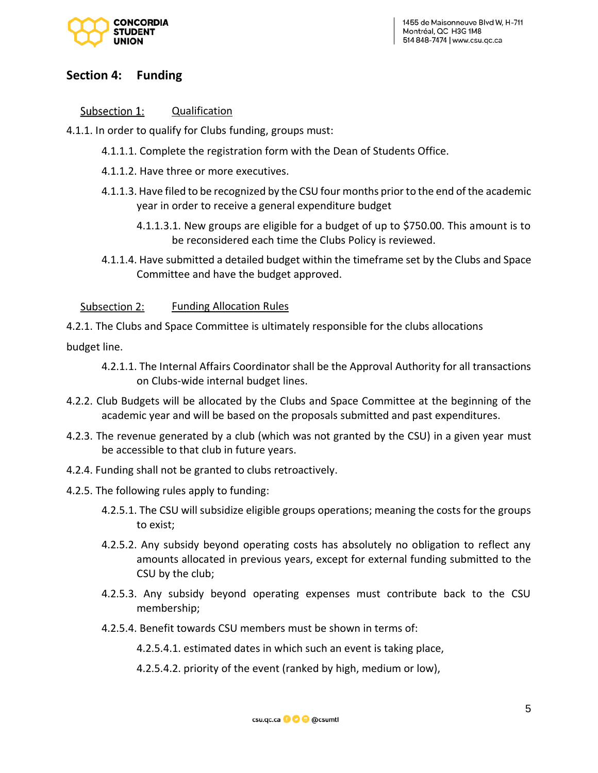

1455 de Maisonneuve Blvd W, H-711 Montréal, QC H3G 1M8 514 848-7474 | www.csu.ac.ca

### **Section 4: Funding**

Subsection 1: Qualification

4.1.1. In order to qualify for Clubs funding, groups must:

- 4.1.1.1. Complete the registration form with the Dean of Students Office.
- 4.1.1.2. Have three or more executives.
- 4.1.1.3. Have filed to be recognized by the CSU four months prior to the end of the academic year in order to receive a general expenditure budget
	- 4.1.1.3.1. New groups are eligible for a budget of up to \$750.00. This amount is to be reconsidered each time the Clubs Policy is reviewed.
- 4.1.1.4. Have submitted a detailed budget within the timeframe set by the Clubs and Space Committee and have the budget approved.

Subsection 2: Funding Allocation Rules

4.2.1. The Clubs and Space Committee is ultimately responsible for the clubs allocations

budget line.

- 4.2.1.1. The Internal Affairs Coordinator shall be the Approval Authority for all transactions on Clubs-wide internal budget lines.
- 4.2.2. Club Budgets will be allocated by the Clubs and Space Committee at the beginning of the academic year and will be based on the proposals submitted and past expenditures.
- 4.2.3. The revenue generated by a club (which was not granted by the CSU) in a given year must be accessible to that club in future years.
- 4.2.4. Funding shall not be granted to clubs retroactively.
- 4.2.5. The following rules apply to funding:
	- 4.2.5.1. The CSU will subsidize eligible groups operations; meaning the costs for the groups to exist;
	- 4.2.5.2. Any subsidy beyond operating costs has absolutely no obligation to reflect any amounts allocated in previous years, except for external funding submitted to the CSU by the club;
	- 4.2.5.3. Any subsidy beyond operating expenses must contribute back to the CSU membership;
	- 4.2.5.4. Benefit towards CSU members must be shown in terms of:
		- 4.2.5.4.1. estimated dates in which such an event is taking place,
		- 4.2.5.4.2. priority of the event (ranked by high, medium or low),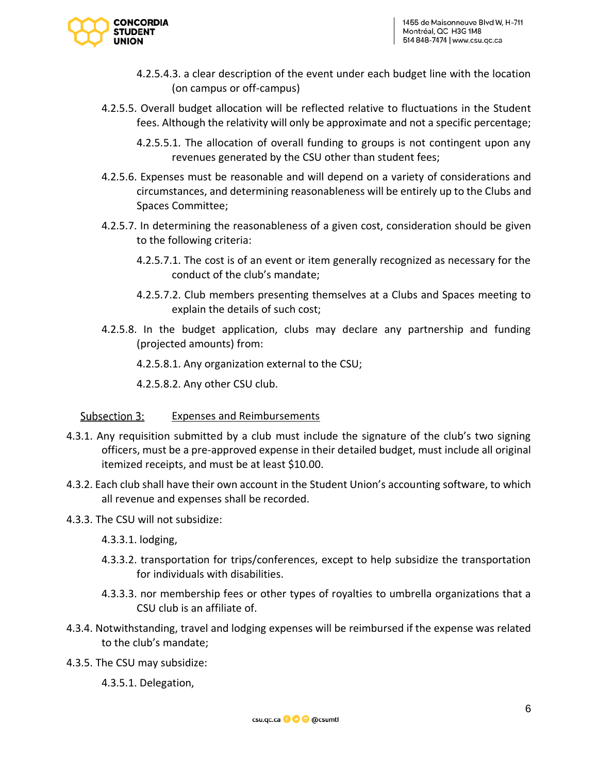

- 4.2.5.4.3. a clear description of the event under each budget line with the location (on campus or off-campus)
- 4.2.5.5. Overall budget allocation will be reflected relative to fluctuations in the Student fees. Although the relativity will only be approximate and not a specific percentage;
	- 4.2.5.5.1. The allocation of overall funding to groups is not contingent upon any revenues generated by the CSU other than student fees;
- 4.2.5.6. Expenses must be reasonable and will depend on a variety of considerations and circumstances, and determining reasonableness will be entirely up to the Clubs and Spaces Committee;
- 4.2.5.7. In determining the reasonableness of a given cost, consideration should be given to the following criteria:
	- 4.2.5.7.1. The cost is of an event or item generally recognized as necessary for the conduct of the club's mandate;
	- 4.2.5.7.2. Club members presenting themselves at a Clubs and Spaces meeting to explain the details of such cost;
- 4.2.5.8. In the budget application, clubs may declare any partnership and funding (projected amounts) from:
	- 4.2.5.8.1. Any organization external to the CSU;
	- 4.2.5.8.2. Any other CSU club.

#### Subsection 3: Expenses and Reimbursements

- 4.3.1. Any requisition submitted by a club must include the signature of the club's two signing officers, must be a pre-approved expense in their detailed budget, must include all original itemized receipts, and must be at least \$10.00.
- 4.3.2. Each club shall have their own account in the Student Union's accounting software, to which all revenue and expenses shall be recorded.
- 4.3.3. The CSU will not subsidize:
	- 4.3.3.1. lodging,
	- 4.3.3.2. transportation for trips/conferences, except to help subsidize the transportation for individuals with disabilities.
	- 4.3.3.3. nor membership fees or other types of royalties to umbrella organizations that a CSU club is an affiliate of.
- 4.3.4. Notwithstanding, travel and lodging expenses will be reimbursed if the expense was related to the club's mandate;
- 4.3.5. The CSU may subsidize:

4.3.5.1. Delegation,

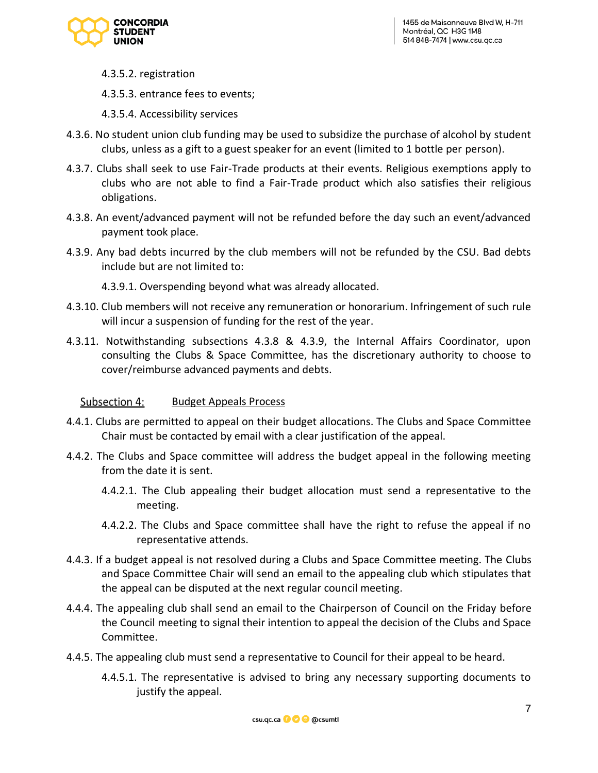

- 4.3.5.2. registration
- 4.3.5.3. entrance fees to events;
- 4.3.5.4. Accessibility services
- 4.3.6. No student union club funding may be used to subsidize the purchase of alcohol by student clubs, unless as a gift to a guest speaker for an event (limited to 1 bottle per person).
- 4.3.7. Clubs shall seek to use Fair-Trade products at their events. Religious exemptions apply to clubs who are not able to find a Fair-Trade product which also satisfies their religious obligations.
- 4.3.8. An event/advanced payment will not be refunded before the day such an event/advanced payment took place.
- 4.3.9. Any bad debts incurred by the club members will not be refunded by the CSU. Bad debts include but are not limited to:

4.3.9.1. Overspending beyond what was already allocated.

- 4.3.10. Club members will not receive any remuneration or honorarium. Infringement of such rule will incur a suspension of funding for the rest of the year.
- 4.3.11. Notwithstanding subsections 4.3.8 & 4.3.9, the Internal Affairs Coordinator, upon consulting the Clubs & Space Committee, has the discretionary authority to choose to cover/reimburse advanced payments and debts.

#### Subsection 4: Budget Appeals Process

- 4.4.1. Clubs are permitted to appeal on their budget allocations. The Clubs and Space Committee Chair must be contacted by email with a clear justification of the appeal.
- 4.4.2. The Clubs and Space committee will address the budget appeal in the following meeting from the date it is sent.
	- 4.4.2.1. The Club appealing their budget allocation must send a representative to the meeting.
	- 4.4.2.2. The Clubs and Space committee shall have the right to refuse the appeal if no representative attends.
- 4.4.3. If a budget appeal is not resolved during a Clubs and Space Committee meeting. The Clubs and Space Committee Chair will send an email to the appealing club which stipulates that the appeal can be disputed at the next regular council meeting.
- 4.4.4. The appealing club shall send an email to the Chairperson of Council on the Friday before the Council meeting to signal their intention to appeal the decision of the Clubs and Space Committee.
- 4.4.5. The appealing club must send a representative to Council for their appeal to be heard.
	- 4.4.5.1. The representative is advised to bring any necessary supporting documents to justify the appeal.

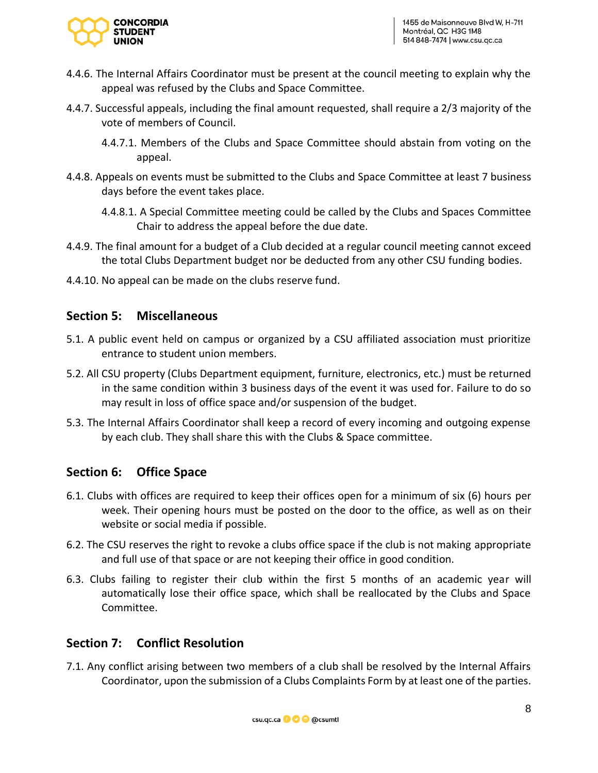

- 4.4.6. The Internal Affairs Coordinator must be present at the council meeting to explain why the appeal was refused by the Clubs and Space Committee.
- 4.4.7. Successful appeals, including the final amount requested, shall require a 2/3 majority of the vote of members of Council.
	- 4.4.7.1. Members of the Clubs and Space Committee should abstain from voting on the appeal.
- 4.4.8. Appeals on events must be submitted to the Clubs and Space Committee at least 7 business days before the event takes place.
	- 4.4.8.1. A Special Committee meeting could be called by the Clubs and Spaces Committee Chair to address the appeal before the due date.
- 4.4.9. The final amount for a budget of a Club decided at a regular council meeting cannot exceed the total Clubs Department budget nor be deducted from any other CSU funding bodies.
- 4.4.10. No appeal can be made on the clubs reserve fund.

### **Section 5: Miscellaneous**

- 5.1. A public event held on campus or organized by a CSU affiliated association must prioritize entrance to student union members.
- 5.2. All CSU property (Clubs Department equipment, furniture, electronics, etc.) must be returned in the same condition within 3 business days of the event it was used for. Failure to do so may result in loss of office space and/or suspension of the budget.
- 5.3. The Internal Affairs Coordinator shall keep a record of every incoming and outgoing expense by each club. They shall share this with the Clubs & Space committee.

### **Section 6: Office Space**

- 6.1. Clubs with offices are required to keep their offices open for a minimum of six (6) hours per week. Their opening hours must be posted on the door to the office, as well as on their website or social media if possible.
- 6.2. The CSU reserves the right to revoke a clubs office space if the club is not making appropriate and full use of that space or are not keeping their office in good condition.
- 6.3. Clubs failing to register their club within the first 5 months of an academic year will automatically lose their office space, which shall be reallocated by the Clubs and Space Committee.

### **Section 7: Conflict Resolution**

7.1. Any conflict arising between two members of a club shall be resolved by the Internal Affairs Coordinator, upon the submission of a Clubs Complaints Form by at least one of the parties.

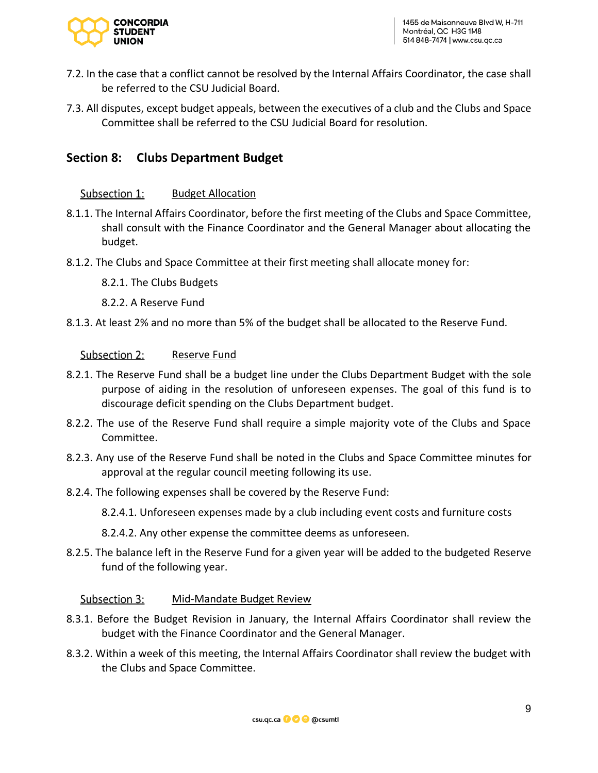

- 7.2. In the case that a conflict cannot be resolved by the Internal Affairs Coordinator, the case shall be referred to the CSU Judicial Board.
- 7.3. All disputes, except budget appeals, between the executives of a club and the Clubs and Space Committee shall be referred to the CSU Judicial Board for resolution.

### **Section 8: Clubs Department Budget**

#### Subsection 1: Budget Allocation

- 8.1.1. The Internal Affairs Coordinator, before the first meeting of the Clubs and Space Committee, shall consult with the Finance Coordinator and the General Manager about allocating the budget.
- 8.1.2. The Clubs and Space Committee at their first meeting shall allocate money for:
	- 8.2.1. The Clubs Budgets
	- 8.2.2. A Reserve Fund
- 8.1.3. At least 2% and no more than 5% of the budget shall be allocated to the Reserve Fund.

#### Subsection 2: Reserve Fund

- 8.2.1. The Reserve Fund shall be a budget line under the Clubs Department Budget with the sole purpose of aiding in the resolution of unforeseen expenses. The goal of this fund is to discourage deficit spending on the Clubs Department budget.
- 8.2.2. The use of the Reserve Fund shall require a simple majority vote of the Clubs and Space Committee.
- 8.2.3. Any use of the Reserve Fund shall be noted in the Clubs and Space Committee minutes for approval at the regular council meeting following its use.
- 8.2.4. The following expenses shall be covered by the Reserve Fund:
	- 8.2.4.1. Unforeseen expenses made by a club including event costs and furniture costs
	- 8.2.4.2. Any other expense the committee deems as unforeseen.
- 8.2.5. The balance left in the Reserve Fund for a given year will be added to the budgeted Reserve fund of the following year.

#### Subsection 3: Mid-Mandate Budget Review

- 8.3.1. Before the Budget Revision in January, the Internal Affairs Coordinator shall review the budget with the Finance Coordinator and the General Manager.
- 8.3.2. Within a week of this meeting, the Internal Affairs Coordinator shall review the budget with the Clubs and Space Committee.